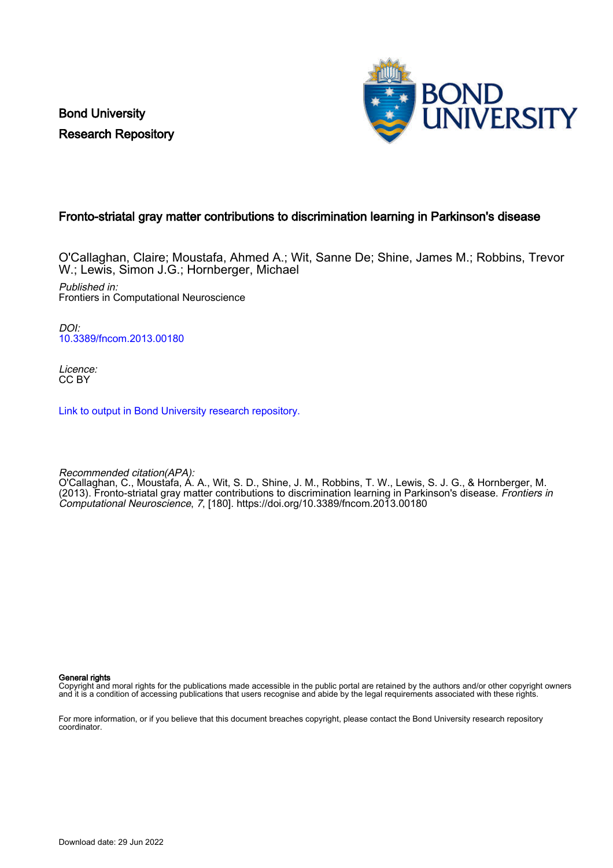Bond University Research Repository



# Fronto-striatal gray matter contributions to discrimination learning in Parkinson's disease

O'Callaghan, Claire; Moustafa, Ahmed A.; Wit, Sanne De; Shine, James M.; Robbins, Trevor W.; Lewis, Simon J.G.; Hornberger, Michael Published in: Frontiers in Computational Neuroscience

DOI: [10.3389/fncom.2013.00180](https://doi.org/10.3389/fncom.2013.00180)

Licence: CC BY

[Link to output in Bond University research repository.](https://research.bond.edu.au/en/publications/716ddb9f-ec55-4a5c-a2f1-dec7db74bd2d)

Recommended citation(APA): O'Callaghan, C., Moustafa, A. A., Wit, S. D., Shine, J. M., Robbins, T. W., Lewis, S. J. G., & Hornberger, M. (2013). Fronto-striatal gray matter contributions to discrimination learning in Parkinson's disease. Frontiers in Computational Neuroscience, 7, [180]. <https://doi.org/10.3389/fncom.2013.00180>

General rights

Copyright and moral rights for the publications made accessible in the public portal are retained by the authors and/or other copyright owners and it is a condition of accessing publications that users recognise and abide by the legal requirements associated with these rights.

For more information, or if you believe that this document breaches copyright, please contact the Bond University research repository coordinator.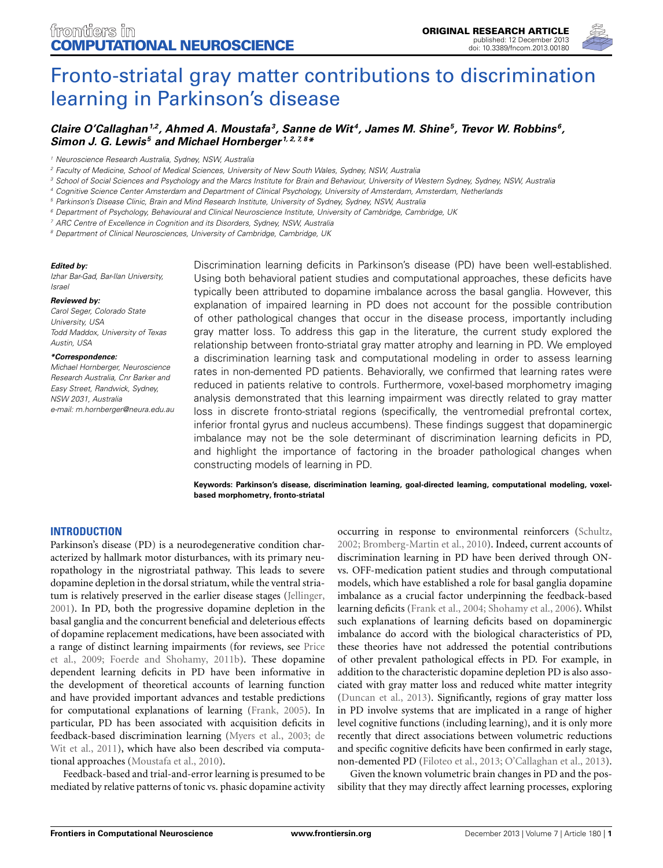

# [Fronto-striatal gray matter contributions to discrimination](http://www.frontiersin.org/journal/10.3389/fncom.2013.00180/abstract) learning in Parkinson's disease

# *[Claire O'Callaghan1](http://www.frontiersin.org/people/u/112310),2, Ahmed A. Moustafa3, [Sanne de Wit](http://www.frontiersin.org/people/u/49553) 4, [James M. Shine](http://www.frontiersin.org/people/u/67761)5, [Trevor W. Robbins](http://www.frontiersin.org/people/u/11094) 6, [Simon J. G. Lewis](http://community.frontiersin.org/people/SimonLewis/113479) <sup>5</sup> and [Michael Hornberger](http://www.frontiersin.org/people/u/19107) 1, 2, 7, 8\**

*<sup>1</sup> Neuroscience Research Australia, Sydney, NSW, Australia*

- *<sup>3</sup> School of Social Sciences and Psychology and the Marcs Institute for Brain and Behaviour, University of Western Sydney, Sydney, NSW, Australia*
- *<sup>4</sup> Cognitive Science Center Amsterdam and Department of Clinical Psychology, University of Amsterdam, Amsterdam, Netherlands*

*<sup>5</sup> Parkinson's Disease Clinic, Brain and Mind Research Institute, University of Sydney, Sydney, NSW, Australia*

- *<sup>6</sup> Department of Psychology, Behavioural and Clinical Neuroscience Institute, University of Cambridge, Cambridge, UK*
- *<sup>7</sup> ARC Centre of Excellence in Cognition and its Disorders, Sydney, NSW, Australia*

*<sup>8</sup> Department of Clinical Neurosciences, University of Cambridge, Cambridge, UK*

#### *Edited by:*

*Izhar Bar-Gad, Bar-Ilan University, Israel*

#### *Reviewed by:*

*Carol Seger, Colorado State University, USA Todd Maddox, University of Texas Austin, USA*

#### *\*Correspondence:*

*Michael Hornberger, Neuroscience Research Australia, Cnr Barker and Easy Street, Randwick, Sydney, NSW 2031, Australia e-mail: [m.hornberger@neura.edu.au](mailto:m.hornberger@neura.edu.au)*

Discrimination learning deficits in Parkinson's disease (PD) have been well-established. Using both behavioral patient studies and computational approaches, these deficits have typically been attributed to dopamine imbalance across the basal ganglia. However, this explanation of impaired learning in PD does not account for the possible contribution of other pathological changes that occur in the disease process, importantly including gray matter loss. To address this gap in the literature, the current study explored the relationship between fronto-striatal gray matter atrophy and learning in PD. We employed a discrimination learning task and computational modeling in order to assess learning rates in non-demented PD patients. Behaviorally, we confirmed that learning rates were reduced in patients relative to controls. Furthermore, voxel-based morphometry imaging analysis demonstrated that this learning impairment was directly related to gray matter loss in discrete fronto-striatal regions (specifically, the ventromedial prefrontal cortex, inferior frontal gyrus and nucleus accumbens). These findings suggest that dopaminergic imbalance may not be the sole determinant of discrimination learning deficits in PD, and highlight the importance of factoring in the broader pathological changes when constructing models of learning in PD.

**Keywords: Parkinson's disease, discrimination learning, goal-directed learning, computational modeling, voxelbased morphometry, fronto-striatal**

## **INTRODUCTION**

Parkinson's disease (PD) is a neurodegenerative condition characterized by hallmark motor disturbances, with its primary neuropathology in the nigrostriatal pathway. This leads to severe dopamine depletion in the dorsal striatum, while the ventral striatum is relatively preserved in the earlier disease stages [\(Jellinger,](#page-9-0) [2001](#page-9-0)). In PD, both the progressive dopamine depletion in the basal ganglia and the concurrent beneficial and deleterious effects of dopamine replacement medications, have been associated with a ran[ge of distinct learning impairments \(for reviews, see](#page-9-1) Price et al., [2009;](#page-9-1) [Foerde and Shohamy, 2011b](#page-9-2)). These dopamine dependent learning deficits in PD have been informative in the development of theoretical accounts of learning function and have provided important advances and testable predictions for computational explanations of learning [\(Frank](#page-9-3), [2005](#page-9-3)). In particular, PD has been associated with acquisition deficits in feedback[-based](#page-8-0) [discrimination](#page-8-0) [learning](#page-8-0) [\(Myers et al.](#page-9-4)[,](#page-8-0) [2003](#page-9-4)[;](#page-8-0) de Wit et al., [2011](#page-8-0)), which have also been described via computational approaches [\(Moustafa et al., 2010\)](#page-9-5).

Feedback-based and trial-and-error learning is presumed to be mediated by relative patterns of tonic vs. phasic dopamine activity

occurring in response to environmental reinforcers [\(Schultz,](#page-9-6) [2002](#page-9-6); [Bromberg-Martin et al., 2010](#page-8-1)). Indeed, current accounts of discrimination learning in PD have been derived through ONvs. OFF-medication patient studies and through computational models, which have established a role for basal ganglia dopamine imbalance as a crucial factor underpinning the feedback-based learning deficits [\(Frank et al., 2004](#page-9-7); [Shohamy et al.](#page-10-0), [2006\)](#page-10-0). Whilst such explanations of learning deficits based on dopaminergic imbalance do accord with the biological characteristics of PD, these theories have not addressed the potential contributions of other prevalent pathological effects in PD. For example, in addition to the characteristic dopamine depletion PD is also associated with gray matter loss and reduced white matter integrity [\(Duncan et al., 2013\)](#page-9-8). Significantly, regions of gray matter loss in PD involve systems that are implicated in a range of higher level cognitive functions (including learning), and it is only more recently that direct associations between volumetric reductions and specific cognitive deficits have been confirmed in early stage, non-demented PD [\(Filoteo et al.](#page-9-9), [2013](#page-9-9); [O'Callaghan et al.](#page-9-10), [2013\)](#page-9-10).

Given the known volumetric brain changes in PD and the possibility that they may directly affect learning processes, exploring

*<sup>2</sup> Faculty of Medicine, School of Medical Sciences, University of New South Wales, Sydney, NSW, Australia*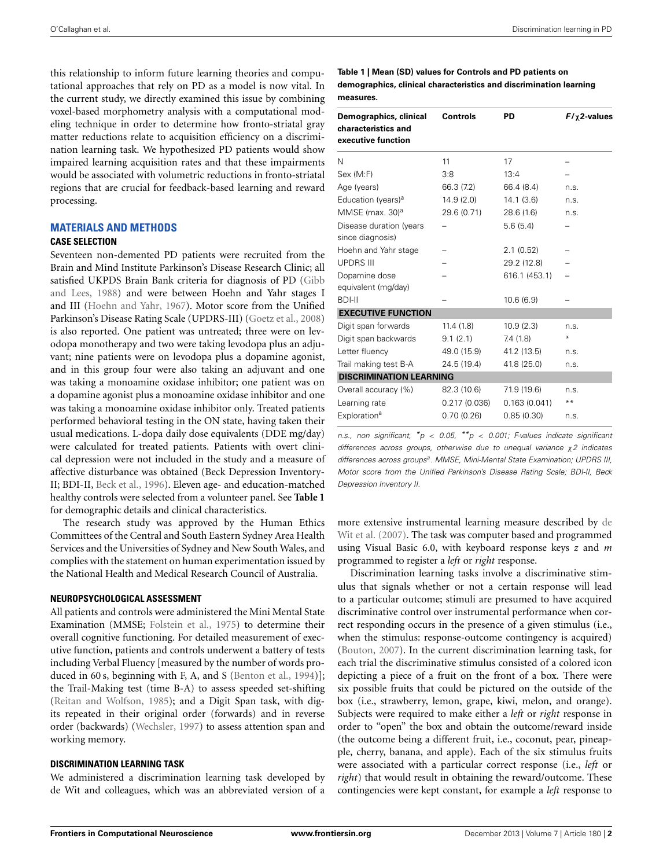this relationship to inform future learning theories and computational approaches that rely on PD as a model is now vital. In the current study, we directly examined this issue by combining voxel-based morphometry analysis with a computational modeling technique in order to determine how fronto-striatal gray matter reductions relate to acquisition efficiency on a discrimination learning task. We hypothesized PD patients would show impaired learning acquisition rates and that these impairments would be associated with volumetric reductions in fronto-striatal regions that are crucial for feedback-based learning and reward processing.

# **MATERIALS AND METHODS**

#### **CASE SELECTION**

Seventeen non-demented PD patients were recruited from the Brain and Mind Institute Parkinson's Disease Research Clinic; all satisfied [UKPDS Brain Bank criteria for diagnosis of PD \(](#page-9-11)Gibb and Lees, [1988](#page-9-11)) and were between Hoehn and Yahr stages I and III [\(Hoehn and Yahr](#page-9-12), [1967\)](#page-9-12). Motor score from the Unified Parkinson's Disease Rating Scale (UPDRS-III) [\(Goetz et al., 2008](#page-9-13)) is also reported. One patient was untreated; three were on levodopa monotherapy and two were taking levodopa plus an adjuvant; nine patients were on levodopa plus a dopamine agonist, and in this group four were also taking an adjuvant and one was taking a monoamine oxidase inhibitor; one patient was on a dopamine agonist plus a monoamine oxidase inhibitor and one was taking a monoamine oxidase inhibitor only. Treated patients performed behavioral testing in the ON state, having taken their usual medications. L-dopa daily dose equivalents (DDE mg/day) were calculated for treated patients. Patients with overt clinical depression were not included in the study and a measure of affective disturbance was obtained (Beck Depression Inventory-II; BDI-II, [Beck et al., 1996\)](#page-8-2). Eleven age- and education-matched healthy controls were selected from a volunteer panel. See **[Table 1](#page-2-0)** for demographic details and clinical characteristics.

The research study was approved by the Human Ethics Committees of the Central and South Eastern Sydney Area Health Services and the Universities of Sydney and New South Wales, and complies with the statement on human experimentation issued by the National Health and Medical Research Council of Australia.

# **NEUROPSYCHOLOGICAL ASSESSMENT**

All patients and controls were administered the Mini Mental State Examination (MMSE; [Folstein et al., 1975](#page-9-14)) to determine their overall cognitive functioning. For detailed measurement of executive function, patients and controls underwent a battery of tests including Verbal Fluency [measured by the number of words produced in 60 s, beginning with F, A, and S [\(Benton et al.](#page-8-3), [1994](#page-8-3))]; the Trail-Making test (time B-A) to assess speeded set-shifting [\(Reitan and Wolfson](#page-9-15), [1985\)](#page-9-15); and a Digit Span task, with digits repeated in their original order (forwards) and in reverse order (backwards) [\(Wechsler, 1997](#page-10-1)) to assess attention span and working memory.

## **DISCRIMINATION LEARNING TASK**

We administered a discrimination learning task developed by de Wit and colleagues, which was an abbreviated version of a

<span id="page-2-0"></span>**Table 1 | Mean (SD) values for Controls and PD patients on demographics, clinical characteristics and discrimination learning measures.**

| Demographics, clinical<br>characteristics and<br>executive function | <b>Controls</b> | PD            | $F/\chi$ 2-values |  |
|---------------------------------------------------------------------|-----------------|---------------|-------------------|--|
| N                                                                   | 11              | 17            |                   |  |
| Sex (M:F)                                                           | 3:8             | 13:4          |                   |  |
| Age (years)                                                         | 66.3 (7.2)      | 66.4 (8.4)    | n.S.              |  |
| Education (years) <sup>a</sup>                                      | 14.9(2.0)       | 14.1(3.6)     | n.s.              |  |
| MMSE (max. 30) <sup>a</sup>                                         | 29.6 (0.71)     | 28.6 (1.6)    | n.S.              |  |
| Disease duration (years<br>since diagnosis)                         |                 | 5.6(5.4)      |                   |  |
| Hoehn and Yahr stage                                                |                 | 2.1(0.52)     |                   |  |
| <b>UPDRS III</b>                                                    |                 | 29.2 (12.8)   |                   |  |
| Dopamine dose<br>equivalent (mg/day)                                |                 | 616.1 (453.1) |                   |  |
| <b>BDI-II</b>                                                       |                 | 10.6(6.9)     |                   |  |
| <b>EXECUTIVE FUNCTION</b>                                           |                 |               |                   |  |
| Digit span forwards                                                 | 11.4(1.8)       | 10.9(2.3)     | n.s.              |  |
| Digit span backwards                                                | 9.1(2.1)        | 7.4(1.8)      | ⋇                 |  |
| Letter fluency                                                      | 49.0 (15.9)     | 41.2 (13.5)   | n.S.              |  |
| Trail making test B-A                                               | 24.5 (19.4)     | 41.8 (25.0)   | n.s.              |  |
| <b>DISCRIMINATION LEARNING</b>                                      |                 |               |                   |  |
| Overall accuracy (%)                                                | 82.3 (10.6)     | 71.9 (19.6)   | n.s.              |  |
| Learning rate                                                       | 0.217(0.036)    | 0.163(0.041)  | * *               |  |
| Exploration <sup>a</sup>                                            | 0.70(0.26)      | 0.85(0.30)    | n.s.              |  |

*n.s., non significant, \*p* < *0.05, \*\*p* < *0.001; F-values indicate significant differences across groups, otherwise due to unequal variance* χ*2 indicates differences across groupsa. MMSE, Mini-Mental State Examination; UPDRS III, Motor score from the Unified Parkinson's Disease Rating Scale; BDI-II, Beck Depression Inventory II.*

more ex[tensive instrumental learning measure described by](#page-8-4) de Wit et al. [\(2007\)](#page-8-4). The task was computer based and programmed using Visual Basic 6.0, with keyboard response keys *z* and *m* programmed to register a *left* or *right* response.

Discrimination learning tasks involve a discriminative stimulus that signals whether or not a certain response will lead to a particular outcome; stimuli are presumed to have acquired discriminative control over instrumental performance when correct responding occurs in the presence of a given stimulus (i.e., when the stimulus: response-outcome contingency is acquired) [\(Bouton](#page-8-5), [2007\)](#page-8-5). In the current discrimination learning task, for each trial the discriminative stimulus consisted of a colored icon depicting a piece of a fruit on the front of a box. There were six possible fruits that could be pictured on the outside of the box (i.e., strawberry, lemon, grape, kiwi, melon, and orange). Subjects were required to make either a *left* or *right* response in order to "open" the box and obtain the outcome/reward inside (the outcome being a different fruit, i.e., coconut, pear, pineapple, cherry, banana, and apple). Each of the six stimulus fruits were associated with a particular correct response (i.e., *left* or *right*) that would result in obtaining the reward/outcome. These contingencies were kept constant, for example a *left* response to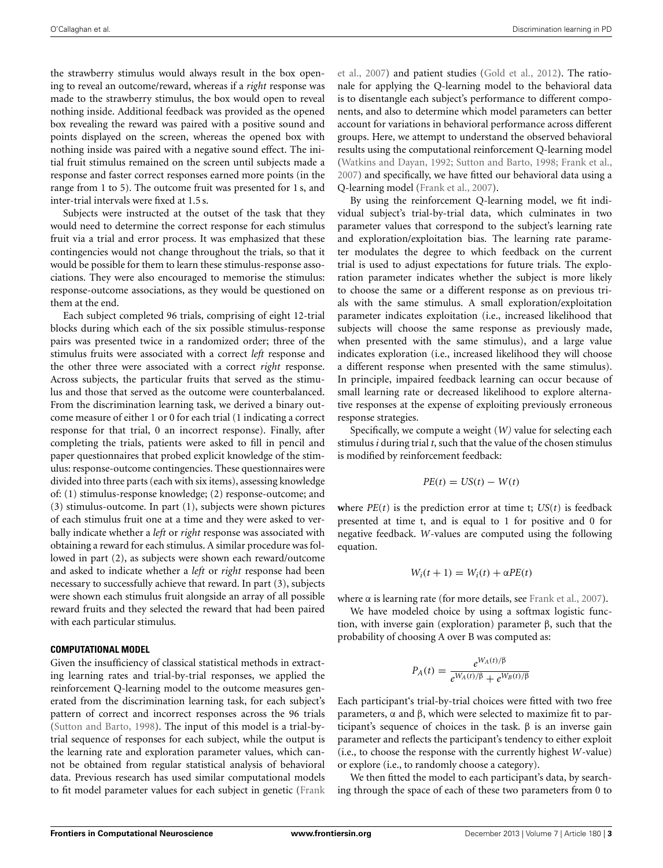the strawberry stimulus would always result in the box opening to reveal an outcome/reward, whereas if a *right* response was made to the strawberry stimulus, the box would open to reveal nothing inside. Additional feedback was provided as the opened box revealing the reward was paired with a positive sound and points displayed on the screen, whereas the opened box with nothing inside was paired with a negative sound effect. The initial fruit stimulus remained on the screen until subjects made a response and faster correct responses earned more points (in the range from 1 to 5). The outcome fruit was presented for 1 s, and inter-trial intervals were fixed at 1.5 s.

Subjects were instructed at the outset of the task that they would need to determine the correct response for each stimulus fruit via a trial and error process. It was emphasized that these contingencies would not change throughout the trials, so that it would be possible for them to learn these stimulus-response associations. They were also encouraged to memorise the stimulus: response-outcome associations, as they would be questioned on them at the end.

Each subject completed 96 trials, comprising of eight 12-trial blocks during which each of the six possible stimulus-response pairs was presented twice in a randomized order; three of the stimulus fruits were associated with a correct *left* response and the other three were associated with a correct *right* response. Across subjects, the particular fruits that served as the stimulus and those that served as the outcome were counterbalanced. From the discrimination learning task, we derived a binary outcome measure of either 1 or 0 for each trial (1 indicating a correct response for that trial, 0 an incorrect response). Finally, after completing the trials, patients were asked to fill in pencil and paper questionnaires that probed explicit knowledge of the stimulus: response-outcome contingencies. These questionnaires were divided into three parts (each with six items), assessing knowledge of: (1) stimulus-response knowledge; (2) response-outcome; and (3) stimulus-outcome. In part (1), subjects were shown pictures of each stimulus fruit one at a time and they were asked to verbally indicate whether a *left* or *right* response was associated with obtaining a reward for each stimulus. A similar procedure was followed in part (2), as subjects were shown each reward/outcome and asked to indicate whether a *left* or *right* response had been necessary to successfully achieve that reward. In part (3), subjects were shown each stimulus fruit alongside an array of all possible reward fruits and they selected the reward that had been paired with each particular stimulus.

## **COMPUTATIONAL MODEL**

Given the insufficiency of classical statistical methods in extracting learning rates and trial-by-trial responses, we applied the reinforcement Q-learning model to the outcome measures generated from the discrimination learning task, for each subject's pattern of correct and incorrect responses across the 96 trials [\(Sutton and Barto, 1998](#page-10-2)). The input of this model is a trial-bytrial sequence of responses for each subject, while the output is the learning rate and exploration parameter values, which cannot be obtained from regular statistical analysis of behavioral data. Previous research has used similar computational models to fit model parameter values for each subject in genetic (Frank et al., [2007](#page-9-16)) and patient studies [\(Gold et al., 2012\)](#page-9-17). The rationale for applying the Q-learning model to the behavioral data is to disentangle each subject's performance to different components, and also to determine which model parameters can better account for variations in behavioral performance across different groups. Here, we attempt to understand the observed behavioral results using the computational reinforcement Q-learning model [\(Watkins and Dayan, 1992;](#page-10-3) [Sutton and Barto](#page-10-2), [1998](#page-10-2); [Frank et al.,](#page-9-16) [2007](#page-9-16)) and specifically, we have fitted our behavioral data using a Q-learning model [\(Frank et al., 2007](#page-9-16)).

By using the reinforcement Q-learning model, we fit individual subject's trial-by-trial data, which culminates in two parameter values that correspond to the subject's learning rate and exploration/exploitation bias. The learning rate parameter modulates the degree to which feedback on the current trial is used to adjust expectations for future trials. The exploration parameter indicates whether the subject is more likely to choose the same or a different response as on previous trials with the same stimulus. A small exploration/exploitation parameter indicates exploitation (i.e., increased likelihood that subjects will choose the same response as previously made, when presented with the same stimulus), and a large value indicates exploration (i.e., increased likelihood they will choose a different response when presented with the same stimulus). In principle, impaired feedback learning can occur because of small learning rate or decreased likelihood to explore alternative responses at the expense of exploiting previously erroneous response strategies.

Specifically, we compute a weight (*W)* value for selecting each stimulus *i* during trial *t*, such that the value of the chosen stimulus is modified by reinforcement feedback:

$$
PE(t) = US(t) - W(t)
$$

where  $PE(t)$  is the prediction error at time t;  $US(t)$  is feedback presented at time t, and is equal to 1 for positive and 0 for negative feedback. *W*-values are computed using the following equation.

$$
W_i(t+1) = W_i(t) + \alpha PE(t)
$$

where  $\alpha$  is learning rate (for more details, see [Frank et al., 2007\)](#page-9-16).

We have modeled choice by using a softmax logistic function, with inverse gain (exploration) parameter β, such that the probability of choosing A over B was computed as:

$$
P_A(t) = \frac{e^{W_A(t)/\beta}}{e^{W_A(t)/\beta} + e^{W_B(t)/\beta}}
$$

Each participant's trial-by-trial choices were fitted with two free parameters, α and β, which were selected to maximize fit to participant's sequence of choices in the task.  $β$  is an inverse gain parameter and reflects the participant's tendency to either exploit (i.e., to choose the response with the currently highest *W*-value) or explore (i.e., to randomly choose a category).

We then fitted the model to each participant's data, by searching through the space of each of these two parameters from 0 to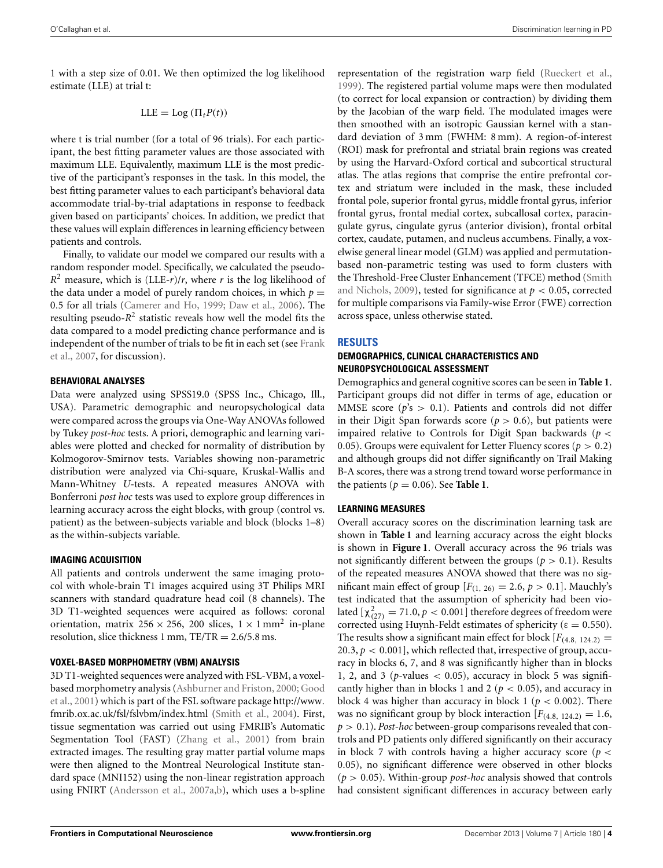1 with a step size of 0.01. We then optimized the log likelihood estimate (LLE) at trial t:

$$
LLE = \text{Log} (\Pi_t P(t))
$$

where t is trial number (for a total of 96 trials). For each participant, the best fitting parameter values are those associated with maximum LLE. Equivalently, maximum LLE is the most predictive of the participant's responses in the task. In this model, the best fitting parameter values to each participant's behavioral data accommodate trial-by-trial adaptations in response to feedback given based on participants' choices. In addition, we predict that these values will explain differences in learning efficiency between patients and controls.

Finally, to validate our model we compared our results with a random responder model. Specifically, we calculated the pseudo- $R^2$  measure, which is (LLE-*r*)/*r*, where *r* is the log likelihood of the data under a model of purely random choices, in which  $p =$ 0.5 for all trials [\(Camerer and Ho, 1999](#page-8-6); [Daw et al., 2006](#page-8-7)). The resulting pseudo- $R^2$  statistic reveals how well the model fits the data compared to a model predicting chance performance and is inde[pendent of the number of trials to be fit in each set \(see](#page-9-16) Frank et al., [2007,](#page-9-16) for discussion).

# **BEHAVIORAL ANALYSES**

Data were analyzed using SPSS19.0 (SPSS Inc., Chicago, Ill., USA). Parametric demographic and neuropsychological data were compared across the groups via One-Way ANOVAs followed by Tukey *post-hoc* tests. A priori, demographic and learning variables were plotted and checked for normality of distribution by Kolmogorov-Smirnov tests. Variables showing non-parametric distribution were analyzed via Chi-square, Kruskal-Wallis and Mann-Whitney *U-*tests. A repeated measures ANOVA with Bonferroni *post hoc* tests was used to explore group differences in learning accuracy across the eight blocks, with group (control vs. patient) as the between-subjects variable and block (blocks 1–8) as the within-subjects variable.

# **IMAGING ACQUISITION**

All patients and controls underwent the same imaging protocol with whole-brain T1 images acquired using 3T Philips MRI scanners with standard quadrature head coil (8 channels). The 3D T1-weighted sequences were acquired as follows: coronal orientation, matrix 256  $\times$  256, 200 slices,  $1 \times 1$  mm<sup>2</sup> in-plane resolution, slice thickness 1 mm,  $TE/TR = 2.6/5.8$  ms.

# **VOXEL-BASED MORPHOMETRY (VBM) ANALYSIS**

3D T1-weighted sequences were analyzed with FSL-VBM, a voxelbase[d](#page-9-18) [morphometry](#page-9-18) [analysis](#page-9-18) [\(Ashburner and Friston](#page-8-8)[,](#page-9-18) [2000](#page-8-8)[;](#page-9-18) Good et al., [2001](#page-9-18)) which is part of the FSL software package [http://www](http://www.fmrib.ox.ac.uk/fsl/fslvbm/index.html). fmrib.ox.ac.[uk/fsl/fslvbm/index](http://www.fmrib.ox.ac.uk/fsl/fslvbm/index.html).html [\(Smith et al.](#page-10-4), [2004](#page-10-4)). First, tissue segmentation was carried out using FMRIB's Automatic Segmentation Tool (FAST) [\(Zhang et al., 2001\)](#page-10-5) from brain extracted images. The resulting gray matter partial volume maps were then aligned to the Montreal Neurological Institute standard space (MNI152) using the non-linear registration approach using FNIRT [\(Andersson et al.](#page-8-9), [2007a](#page-8-9)[,b\)](#page-8-10), which uses a b-spline

representation of the registration warp field [\(Rueckert et al.](#page-9-19), [1999](#page-9-19)). The registered partial volume maps were then modulated (to correct for local expansion or contraction) by dividing them by the Jacobian of the warp field. The modulated images were then smoothed with an isotropic Gaussian kernel with a standard deviation of 3 mm (FWHM: 8 mm). A region-of-interest (ROI) mask for prefrontal and striatal brain regions was created by using the Harvard-Oxford cortical and subcortical structural atlas. The atlas regions that comprise the entire prefrontal cortex and striatum were included in the mask, these included frontal pole, superior frontal gyrus, middle frontal gyrus, inferior frontal gyrus, frontal medial cortex, subcallosal cortex, paracingulate gyrus, cingulate gyrus (anterior division), frontal orbital cortex, caudate, putamen, and nucleus accumbens. Finally, a voxelwise general linear model (GLM) was applied and permutationbased non-parametric testing was used to form clusters with the Thresho[ld-Free](#page-10-6) [Cluster](#page-10-6) [Enhancement](#page-10-6) [\(TFCE\)](#page-10-6) [method](#page-10-6) [\(](#page-10-6)Smith and Nichols, [2009](#page-10-6)), tested for significance at  $p < 0.05$ , corrected for multiple comparisons via Family-wise Error (FWE) correction across space, unless otherwise stated.

# **RESULTS**

# **DEMOGRAPHICS, CLINICAL CHARACTERISTICS AND NEUROPSYCHOLOGICAL ASSESSMENT**

Demographics and general cognitive scores can be seen in **[Table 1](#page-2-0)**. Participant groups did not differ in terms of age, education or MMSE score ( $p$ 's  $>$  0.1). Patients and controls did not differ in their Digit Span forwards score ( $p > 0.6$ ), but patients were impaired relative to Controls for Digit Span backwards (*p* < 0.05). Groups were equivalent for Letter Fluency scores ( $p > 0.2$ ) and although groups did not differ significantly on Trail Making B-A scores, there was a strong trend toward worse performance in the patients ( $p = 0.06$ ). See **[Table 1](#page-2-0)**.

# **LEARNING MEASURES**

Overall accuracy scores on the discrimination learning task are shown in **[Table 1](#page-2-0)** and learning accuracy across the eight blocks is shown in **[Figure 1](#page-5-0)**. Overall accuracy across the 96 trials was not significantly different between the groups ( $p > 0.1$ ). Results of the repeated measures ANOVA showed that there was no significant main effect of group  $[F_{(1, 26)} = 2.6, p > 0.1]$ . Mauchly's test indicated that the assumption of sphericity had been violated  $[\chi_{(27)}^2 = 71.0, p < 0.001]$  therefore degrees of freedom were corrected using Huynh-Feldt estimates of sphericity ( $\varepsilon = 0.550$ ). The results show a significant main effect for block  $[F<sub>(4.8, 124.2)</sub>]$  $20.3, p < 0.001$ ], which reflected that, irrespective of group, accuracy in blocks 6, 7, and 8 was significantly higher than in blocks 1, 2, and 3 ( $p$ -values  $<$  0.05), accuracy in block 5 was significantly higher than in blocks 1 and 2 ( $p < 0.05$ ), and accuracy in block 4 was higher than accuracy in block 1 ( $p < 0.002$ ). There was no significant group by block interaction  $[F_{(4.8, 124.2)} = 1.6$ , *p* > 0.1). *Post-hoc* between-group comparisons revealed that controls and PD patients only differed significantly on their accuracy in block 7 with controls having a higher accuracy score ( $p <$ 0.05), no significant difference were observed in other blocks  $(p > 0.05)$ . Within-group *post-hoc* analysis showed that controls had consistent significant differences in accuracy between early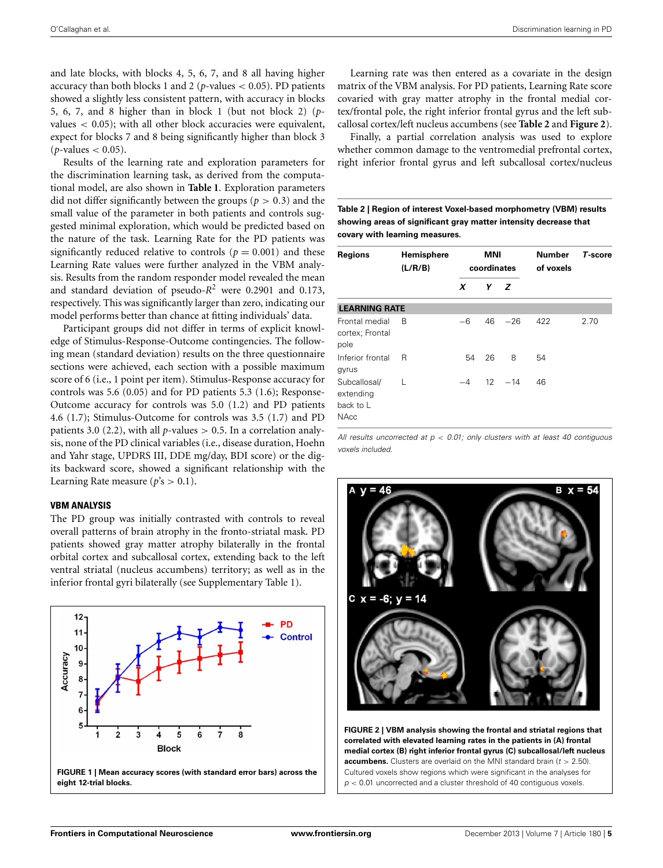and late blocks, with blocks 4, 5, 6, 7, and 8 all having higher accuracy than both blocks 1 and 2 ( $p$ -values  $<$  0.05). PD patients showed a slightly less consistent pattern, with accuracy in blocks 5, 6, 7, and 8 higher than in block 1 (but not block 2) (*p*values  $<$  0.05); with all other block accuracies were equivalent, expect for blocks 7 and 8 being significantly higher than block 3  $(p$ -values  $< 0.05$ ).

Results of the learning rate and exploration parameters for the discrimination learning task, as derived from the computational model, are also shown in **[Table 1](#page-2-0)**. Exploration parameters did not differ significantly between the groups ( $p > 0.3$ ) and the small value of the parameter in both patients and controls suggested minimal exploration, which would be predicted based on the nature of the task. Learning Rate for the PD patients was significantly reduced relative to controls ( $p = 0.001$ ) and these Learning Rate values were further analyzed in the VBM analysis. Results from the random responder model revealed the mean and standard deviation of pseudo-*R*<sup>2</sup> were 0.2901 and 0.173, respectively. This was significantly larger than zero, indicating our model performs better than chance at fitting individuals' data.

Participant groups did not differ in terms of explicit knowledge of Stimulus-Response-Outcome contingencies. The following mean (standard deviation) results on the three questionnaire sections were achieved, each section with a possible maximum score of 6 (i.e., 1 point per item). Stimulus-Response accuracy for controls was 5.6 (0.05) and for PD patients 5.3 (1.6); Response-Outcome accuracy for controls was 5.0 (1.2) and PD patients 4.6 (1.7); Stimulus-Outcome for controls was 3.5 (1.7) and PD patients 3.0 (2.2), with all  $p$ -values  $> 0.5$ . In a correlation analysis, none of the PD clinical variables (i.e., disease duration, Hoehn and Yahr stage, UPDRS III, DDE mg/day, BDI score) or the digits backward score, showed a significant relationship with the Learning Rate measure ( $p$ 's  $> 0.1$ ).

# **VBM ANALYSIS**

The PD group was initially contrasted with controls to reveal overall patterns of brain atrophy in the fronto-striatal mask. PD patients showed gray matter atrophy bilaterally in the frontal orbital cortex and subcallosal cortex, extending back to the left ventral striatal (nucleus accumbens) territory; as well as in the inferior frontal gyri bilaterally (see Supplementary Table 1).

<span id="page-5-0"></span>

Learning rate was then entered as a covariate in the design matrix of the VBM analysis. For PD patients, Learning Rate score covaried with gray matter atrophy in the frontal medial cortex/frontal pole, the right inferior frontal gyrus and the left subcallosal cortex/left nucleus accumbens (see **[Table 2](#page-5-1)** and **[Figure 2](#page-5-2)**).

Finally, a partial correlation analysis was used to explore whether common damage to the ventromedial prefrontal cortex, right inferior frontal gyrus and left subcallosal cortex/nucleus

<span id="page-5-1"></span>**Table 2 | Region of interest Voxel-based morphometry (VBM) results showing areas of significant gray matter intensity decrease that covary with learning measures.**

| <b>Regions</b>                                 | Hemisphere<br>(L/R/B) | <b>MNI</b><br>coordinates |     | <b>Number</b><br>of voxels | T-score |      |
|------------------------------------------------|-----------------------|---------------------------|-----|----------------------------|---------|------|
|                                                |                       | x                         | Y Z |                            |         |      |
| <b>LEARNING RATE</b>                           |                       |                           |     |                            |         |      |
| Frontal medial<br>cortex; Frontal<br>pole      | <sub>R</sub>          | $-6$                      | 46  | $-26$                      | 422     | 2.70 |
| Inferior frontal<br>gyrus                      | R                     | 54                        | 26  | 8                          | 54      |      |
| Subcallosal/<br>extending<br>back to L<br>NAcc |                       | $-4$                      | 12  | $-14$                      | 46      |      |

*All results uncorrected at p* < *0.01; only clusters with at least 40 contiguous voxels included.*



<span id="page-5-2"></span>**FIGURE 2 | VBM analysis showing the frontal and striatal regions that correlated with elevated learning rates in the patients in (A) frontal medial cortex (B) right inferior frontal gyrus (C) subcallosal/left nucleus accumbens.** Clusters are overlaid on the MNI standard brain (*t* > 2.50). Cultured voxels show regions which were significant in the analyses for *p* < 0.01 uncorrected and a cluster threshold of 40 contiguous voxels.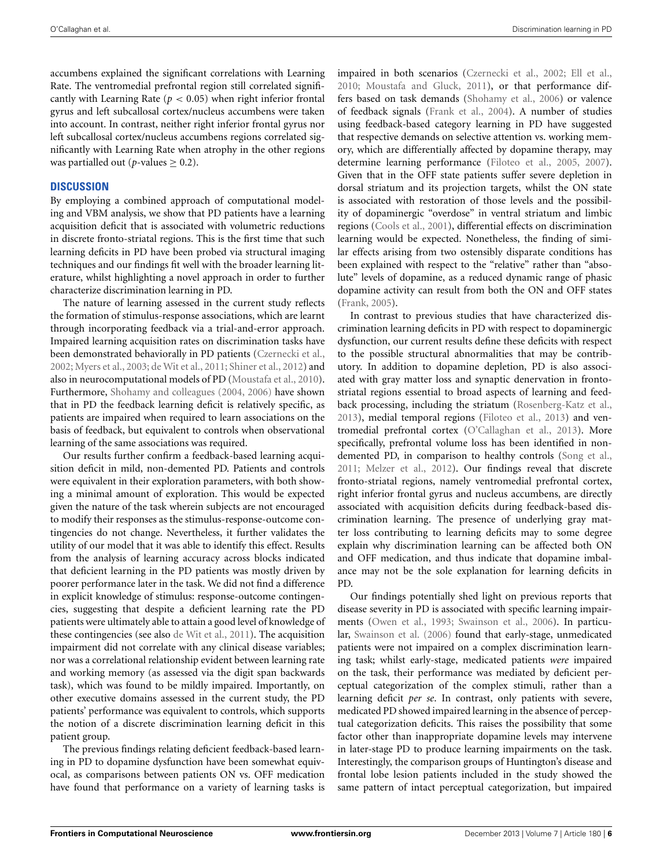accumbens explained the significant correlations with Learning Rate. The ventromedial prefrontal region still correlated significantly with Learning Rate ( $p < 0.05$ ) when right inferior frontal gyrus and left subcallosal cortex/nucleus accumbens were taken into account. In contrast, neither right inferior frontal gyrus nor left subcallosal cortex/nucleus accumbens regions correlated significantly with Learning Rate when atrophy in the other regions was partialled out ( $p$ -values  $\geq$  0.2).

# **DISCUSSION**

By employing a combined approach of computational modeling and VBM analysis, we show that PD patients have a learning acquisition deficit that is associated with volumetric reductions in discrete fronto-striatal regions. This is the first time that such learning deficits in PD have been probed via structural imaging techniques and our findings fit well with the broader learning literature, whilst highlighting a novel approach in order to further characterize discrimination learning in PD.

The nature of learning assessed in the current study reflects the formation of stimulus-response associations, which are learnt through incorporating feedback via a trial-and-error approach. Impaired learning acquisition rates on discrimination tasks have been demonstrated behaviorally in PD patients [\(Czernecki et al.](#page-8-11), [2002](#page-8-11); [Myers et al., 2003;](#page-9-4) [de Wit et al., 2011](#page-8-0); [Shiner et al.](#page-10-7), [2012](#page-10-7)) and also in neurocomputational models of PD [\(Moustafa et al., 2010](#page-9-5)). Furthermore, [Shohamy and colleagues](#page-10-8) [\(2004,](#page-10-8) [2006\)](#page-10-0) have shown that in PD the feedback learning deficit is relatively specific, as patients are impaired when required to learn associations on the basis of feedback, but equivalent to controls when observational learning of the same associations was required.

Our results further confirm a feedback-based learning acquisition deficit in mild, non-demented PD. Patients and controls were equivalent in their exploration parameters, with both showing a minimal amount of exploration. This would be expected given the nature of the task wherein subjects are not encouraged to modify their responses as the stimulus-response-outcome contingencies do not change. Nevertheless, it further validates the utility of our model that it was able to identify this effect. Results from the analysis of learning accuracy across blocks indicated that deficient learning in the PD patients was mostly driven by poorer performance later in the task. We did not find a difference in explicit knowledge of stimulus: response-outcome contingencies, suggesting that despite a deficient learning rate the PD patients were ultimately able to attain a good level of knowledge of these contingencies (see also [de Wit et al., 2011](#page-8-0)). The acquisition impairment did not correlate with any clinical disease variables; nor was a correlational relationship evident between learning rate and working memory (as assessed via the digit span backwards task), which was found to be mildly impaired. Importantly, on other executive domains assessed in the current study, the PD patients' performance was equivalent to controls, which supports the notion of a discrete discrimination learning deficit in this patient group.

The previous findings relating deficient feedback-based learning in PD to dopamine dysfunction have been somewhat equivocal, as comparisons between patients ON vs. OFF medication have found that performance on a variety of learning tasks is impaired in both scenarios [\(Czernecki et al.](#page-8-11), [2002](#page-8-11); [Ell et al.](#page-9-20), [2010](#page-9-20); [Moustafa and Gluck, 2011](#page-9-21)), or that performance differs based on task demands [\(Shohamy et al.](#page-10-0), [2006\)](#page-10-0) or valence of feedback signals [\(Frank et al.](#page-9-7), [2004\)](#page-9-7). A number of studies using feedback-based category learning in PD have suggested that respective demands on selective attention vs. working memory, which are differentially affected by dopamine therapy, may determine learning performance [\(Filoteo et al., 2005](#page-9-22), [2007\)](#page-9-23). Given that in the OFF state patients suffer severe depletion in dorsal striatum and its projection targets, whilst the ON state is associated with restoration of those levels and the possibility of dopaminergic "overdose" in ventral striatum and limbic regions [\(Cools et al.](#page-8-12), [2001](#page-8-12)), differential effects on discrimination learning would be expected. Nonetheless, the finding of similar effects arising from two ostensibly disparate conditions has been explained with respect to the "relative" rather than "absolute" levels of dopamine, as a reduced dynamic range of phasic dopamine activity can result from both the ON and OFF states [\(Frank, 2005\)](#page-9-3).

In contrast to previous studies that have characterized discrimination learning deficits in PD with respect to dopaminergic dysfunction, our current results define these deficits with respect to the possible structural abnormalities that may be contributory. In addition to dopamine depletion, PD is also associated with gray matter loss and synaptic denervation in frontostriatal regions essential to broad aspects of learning and feedback processing, including the striatum [\(Rosenberg-Katz et al.](#page-9-24), [2013](#page-9-24)), medial temporal regions [\(Filoteo et al.](#page-9-9), [2013\)](#page-9-9) and ventromedial prefrontal cortex [\(O'Callaghan et al.](#page-9-10), [2013\)](#page-9-10). More specifically, prefrontal volume loss has been identified in nondemented PD, in comparison to healthy controls [\(Song et al.](#page-10-9), [2011](#page-10-9); [Melzer et al.](#page-9-25), [2012\)](#page-9-25). Our findings reveal that discrete fronto-striatal regions, namely ventromedial prefrontal cortex, right inferior frontal gyrus and nucleus accumbens, are directly associated with acquisition deficits during feedback-based discrimination learning. The presence of underlying gray matter loss contributing to learning deficits may to some degree explain why discrimination learning can be affected both ON and OFF medication, and thus indicate that dopamine imbalance may not be the sole explanation for learning deficits in PD.

Our findings potentially shed light on previous reports that disease severity in PD is associated with specific learning impairments [\(Owen et al., 1993](#page-9-26); [Swainson et al., 2006\)](#page-10-10). In particular, [Swainson et al.](#page-10-10) [\(2006](#page-10-10)) found that early-stage, unmedicated patients were not impaired on a complex discrimination learning task; whilst early-stage, medicated patients *were* impaired on the task, their performance was mediated by deficient perceptual categorization of the complex stimuli, rather than a learning deficit *per se*. In contrast, only patients with severe, medicated PD showed impaired learning in the absence of perceptual categorization deficits. This raises the possibility that some factor other than inappropriate dopamine levels may intervene in later-stage PD to produce learning impairments on the task. Interestingly, the comparison groups of Huntington's disease and frontal lobe lesion patients included in the study showed the same pattern of intact perceptual categorization, but impaired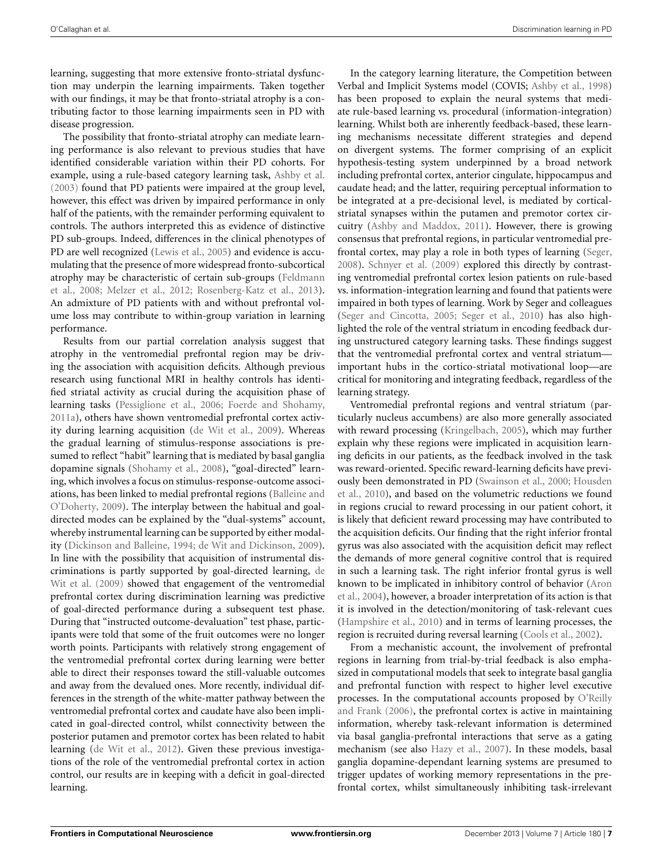learning, suggesting that more extensive fronto-striatal dysfunction may underpin the learning impairments. Taken together with our findings, it may be that fronto-striatal atrophy is a contributing factor to those learning impairments seen in PD with disease progression.

The possibility that fronto-striatal atrophy can mediate learning performance is also relevant to previous studies that have identified considerable variation within their PD cohorts. For example, using a rule-based category learning task, [Ashby et al.](#page-8-13) [\(2003\)](#page-8-13) found that PD patients were impaired at the group level, however, this effect was driven by impaired performance in only half of the patients, with the remainder performing equivalent to controls. The authors interpreted this as evidence of distinctive PD sub-groups. Indeed, differences in the clinical phenotypes of PD are well recognized [\(Lewis et al.](#page-9-27), [2005](#page-9-27)) and evidence is accumulating that the presence of more widespread fronto-subcortical atro[phy](#page-9-28) [may](#page-9-28) [be](#page-9-28) [characteristic](#page-9-28) [of](#page-9-28) [certain](#page-9-28) [sub-groups](#page-9-28) [\(](#page-9-28)Feldmann et al., [2008;](#page-9-28) [Melzer et al., 2012;](#page-9-25) [Rosenberg-Katz et al.](#page-9-24), [2013](#page-9-24)). An admixture of PD patients with and without prefrontal volume loss may contribute to within-group variation in learning performance.

Results from our partial correlation analysis suggest that atrophy in the ventromedial prefrontal region may be driving the association with acquisition deficits. Although previous research using functional MRI in healthy controls has identified striatal activity as crucial during the acquisition phase of learning tasks [\(Pessiglione et al.](#page-9-29), [2006](#page-9-29); [Foerde and Shohamy,](#page-9-30) [2011a\)](#page-9-30), others have shown ventromedial prefrontal cortex activity during learning acquisition [\(de Wit et al., 2009](#page-8-14)). Whereas the gradual learning of stimulus-response associations is presumed to reflect "habit" learning that is mediated by basal ganglia dopamine signals [\(Shohamy et al., 2008](#page-10-11)), "goal-directed" learning, which involves a focus on stimulus-response-outcome associations, has [been linked to medial prefrontal regions \(](#page-8-15)Balleine and O'Doherty, [2009\)](#page-8-15). The interplay between the habitual and goaldirected modes can be explained by the "dual-systems" account, whereby instrumental learning can be supported by either modality [\(Dickinson and Balleine](#page-9-31), [1994](#page-9-31); [de Wit and Dickinson, 2009](#page-8-16)). In line with the possibility that acquisition of instrumental discriminati[ons is partly supported by goal-directed learning,](#page-8-14) de Wit et al. [\(2009](#page-8-14)) showed that engagement of the ventromedial prefrontal cortex during discrimination learning was predictive of goal-directed performance during a subsequent test phase. During that "instructed outcome-devaluation" test phase, participants were told that some of the fruit outcomes were no longer worth points. Participants with relatively strong engagement of the ventromedial prefrontal cortex during learning were better able to direct their responses toward the still-valuable outcomes and away from the devalued ones. More recently, individual differences in the strength of the white-matter pathway between the ventromedial prefrontal cortex and caudate have also been implicated in goal-directed control, whilst connectivity between the posterior putamen and premotor cortex has been related to habit learning [\(de Wit et al., 2012](#page-8-17)). Given these previous investigations of the role of the ventromedial prefrontal cortex in action control, our results are in keeping with a deficit in goal-directed learning.

In the category learning literature, the Competition between Verbal and Implicit Systems model (COVIS; [Ashby et al., 1998](#page-8-18)) has been proposed to explain the neural systems that mediate rule-based learning vs. procedural (information-integration) learning. Whilst both are inherently feedback-based, these learning mechanisms necessitate different strategies and depend on divergent systems. The former comprising of an explicit hypothesis-testing system underpinned by a broad network including prefrontal cortex, anterior cingulate, hippocampus and caudate head; and the latter, requiring perceptual information to be integrated at a pre-decisional level, is mediated by corticalstriatal synapses within the putamen and premotor cortex circuitry [\(Ashby and Maddox, 2011\)](#page-8-19). However, there is growing consensus that prefrontal regions, in particular ventromedial prefrontal cortex, may play a role in both types of learning [\(Seger](#page-9-32), [2008](#page-9-32)). [Schnyer et al.](#page-9-33) [\(2009](#page-9-33)) explored this directly by contrasting ventromedial prefrontal cortex lesion patients on rule-based vs. information-integration learning and found that patients were impaired in both types of learning. Work by Seger and colleagues [\(Seger and Cincotta, 2005](#page-10-12); [Seger et al., 2010\)](#page-10-13) has also highlighted the role of the ventral striatum in encoding feedback during unstructured category learning tasks. These findings suggest that the ventromedial prefrontal cortex and ventral striatum important hubs in the cortico-striatal motivational loop—are critical for monitoring and integrating feedback, regardless of the learning strategy.

Ventromedial prefrontal regions and ventral striatum (particularly nucleus accumbens) are also more generally associated with reward processing [\(Kringelbach](#page-9-34), [2005\)](#page-9-34), which may further explain why these regions were implicated in acquisition learning deficits in our patients, as the feedback involved in the task was reward-oriented. Specific reward-learning deficits have previousl[y been demonstrated in PD](#page-9-35) [\(Swainson et al.](#page-10-14)[,](#page-9-35) [2000](#page-10-14)[;](#page-9-35) Housden et al., [2010\)](#page-9-35), and based on the volumetric reductions we found in regions crucial to reward processing in our patient cohort, it is likely that deficient reward processing may have contributed to the acquisition deficits. Our finding that the right inferior frontal gyrus was also associated with the acquisition deficit may reflect the demands of more general cognitive control that is required in such a learning task. The right inferior frontal gyrus is well kno[wn](#page-8-20) [to](#page-8-20) [be](#page-8-20) [implicated](#page-8-20) [in](#page-8-20) [inhibitory](#page-8-20) [control](#page-8-20) [of](#page-8-20) [behavior](#page-8-20) [\(](#page-8-20)Aron et al., [2004\)](#page-8-20), however, a broader interpretation of its action is that it is involved in the detection/monitoring of task-relevant cues [\(Hampshire et al., 2010](#page-9-36)) and in terms of learning processes, the region is recruited during reversal learning [\(Cools et al., 2002](#page-8-21)).

From a mechanistic account, the involvement of prefrontal regions in learning from trial-by-trial feedback is also emphasized in computational models that seek to integrate basal ganglia and prefrontal function with respect to higher level executive processes. [In](#page-9-37) [the](#page-9-37) [computational](#page-9-37) [accounts](#page-9-37) [proposed](#page-9-37) [by](#page-9-37) O'Reilly and Frank [\(2006\)](#page-9-37), the prefrontal cortex is active in maintaining information, whereby task-relevant information is determined via basal ganglia-prefrontal interactions that serve as a gating mechanism (see also [Hazy et al., 2007\)](#page-9-38). In these models, basal ganglia dopamine-dependant learning systems are presumed to trigger updates of working memory representations in the prefrontal cortex, whilst simultaneously inhibiting task-irrelevant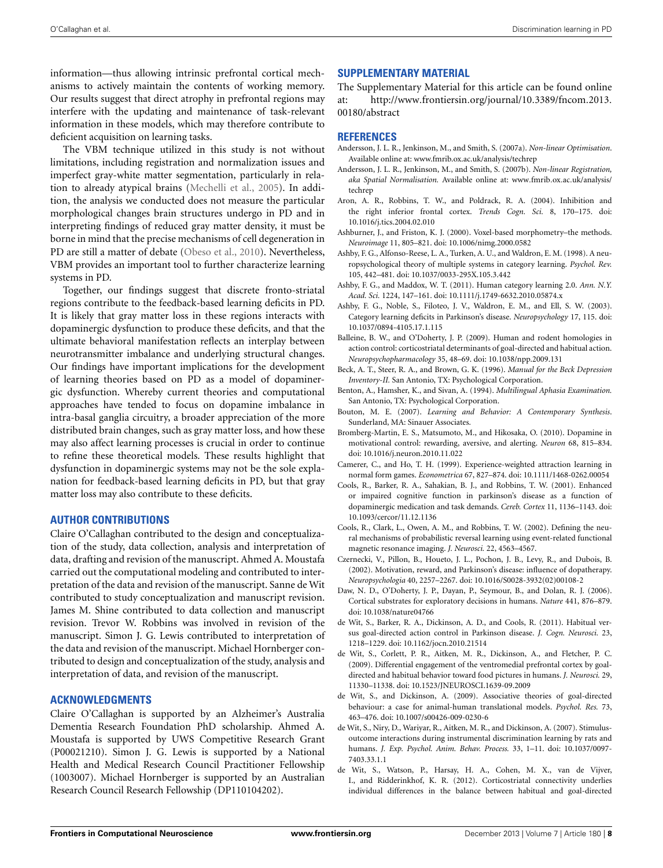information—thus allowing intrinsic prefrontal cortical mechanisms to actively maintain the contents of working memory. Our results suggest that direct atrophy in prefrontal regions may interfere with the updating and maintenance of task-relevant information in these models, which may therefore contribute to deficient acquisition on learning tasks.

The VBM technique utilized in this study is not without limitations, including registration and normalization issues and imperfect gray-white matter segmentation, particularly in relation to already atypical brains [\(Mechelli et al.](#page-9-39), [2005](#page-9-39)). In addition, the analysis we conducted does not measure the particular morphological changes brain structures undergo in PD and in interpreting findings of reduced gray matter density, it must be borne in mind that the precise mechanisms of cell degeneration in PD are still a matter of debate [\(Obeso et al.](#page-9-40), [2010](#page-9-40)). Nevertheless, VBM provides an important tool to further characterize learning systems in PD.

Together, our findings suggest that discrete fronto-striatal regions contribute to the feedback-based learning deficits in PD. It is likely that gray matter loss in these regions interacts with dopaminergic dysfunction to produce these deficits, and that the ultimate behavioral manifestation reflects an interplay between neurotransmitter imbalance and underlying structural changes. Our findings have important implications for the development of learning theories based on PD as a model of dopaminergic dysfunction. Whereby current theories and computational approaches have tended to focus on dopamine imbalance in intra-basal ganglia circuitry, a broader appreciation of the more distributed brain changes, such as gray matter loss, and how these may also affect learning processes is crucial in order to continue to refine these theoretical models. These results highlight that dysfunction in dopaminergic systems may not be the sole explanation for feedback-based learning deficits in PD, but that gray matter loss may also contribute to these deficits.

# **AUTHOR CONTRIBUTIONS**

Claire O'Callaghan contributed to the design and conceptualization of the study, data collection, analysis and interpretation of data, drafting and revision of the manuscript. Ahmed A. Moustafa carried out the computational modeling and contributed to interpretation of the data and revision of the manuscript. Sanne de Wit contributed to study conceptualization and manuscript revision. James M. Shine contributed to data collection and manuscript revision. Trevor W. Robbins was involved in revision of the manuscript. Simon J. G. Lewis contributed to interpretation of the data and revision of the manuscript. Michael Hornberger contributed to design and conceptualization of the study, analysis and interpretation of data, and revision of the manuscript.

# **ACKNOWLEDGMENTS**

Claire O'Callaghan is supported by an Alzheimer's Australia Dementia Research Foundation PhD scholarship. Ahmed A. Moustafa is supported by UWS Competitive Research Grant (P00021210). Simon J. G. Lewis is supported by a National Health and Medical Research Council Practitioner Fellowship (1003007). Michael Hornberger is supported by an Australian Research Council Research Fellowship (DP110104202).

# **SUPPLEMENTARY MATERIAL**

The Supplementary Material for this article can be found online at: http://www.frontiersin.[org/journal/10](http://www.frontiersin.org/journal/10.3389/fncom.2013.00180/abstract).3389/fncom.2013. [00180/abstract](http://www.frontiersin.org/journal/10.3389/fncom.2013.00180/abstract)

### **REFERENCES**

- <span id="page-8-9"></span>Andersson, J. L. R., Jenkinson, M., and Smith, S. (2007a). *Non-linear Optimisation*. Available online at: www.fmrib.ox.ac.uk/analysis/techrep
- <span id="page-8-10"></span>Andersson, J. L. R., Jenkinson, M., and Smith, S. (2007b). *Non-linear Registration, aka Spatial Normalisation.* Available online at: www.fmrib.ox.ac.[uk/analysis/](www.fmrib.ox.ac.uk/analysis/techrep) [techrep](www.fmrib.ox.ac.uk/analysis/techrep)
- <span id="page-8-20"></span>Aron, A. R., Robbins, T. W., and Poldrack, R. A. (2004). Inhibition and the right inferior frontal cortex. *Trends Cogn. Sci.* 8, 170–175. doi: 10.1016/j.tics.2004.02.010
- <span id="page-8-8"></span>Ashburner, J., and Friston, K. J. (2000). Voxel-based morphometry–the methods. *Neuroimage* 11, 805–821. doi: 10.1006/nimg.2000.0582
- <span id="page-8-18"></span>Ashby, F. G., Alfonso-Reese, L. A., Turken, A. U., and Waldron, E. M. (1998). A neuropsychological theory of multiple systems in category learning. *Psychol. Rev.* 105, 442–481. doi: 10.1037/0033-295X.105.3.442
- <span id="page-8-19"></span>Ashby, F. G., and Maddox, W. T. (2011). Human category learning 2.0. *Ann. N.Y. Acad. Sci.* 1224, 147–161. doi: 10.1111/j.1749-6632.2010.05874.x
- <span id="page-8-13"></span>Ashby, F. G., Noble, S., Filoteo, J. V., Waldron, E. M., and Ell, S. W. (2003). Category learning deficits in Parkinson's disease. *Neuropsychology* 17, 115. doi: 10.1037/0894-4105.17.1.115
- <span id="page-8-15"></span>Balleine, B. W., and O'Doherty, J. P. (2009). Human and rodent homologies in action control: corticostriatal determinants of goal-directed and habitual action. *Neuropsychopharmacology* 35, 48–69. doi: 10.1038/npp.2009.131
- <span id="page-8-2"></span>Beck, A. T., Steer, R. A., and Brown, G. K. (1996). *Manual for the Beck Depression Inventory-II.* San Antonio, TX: Psychological Corporation.
- <span id="page-8-3"></span>Benton, A., Hamsher, K., and Sivan, A. (1994). *Multilingual Aphasia Examination.* San Antonio, TX: Psychological Corporation.
- <span id="page-8-5"></span>Bouton, M. E. (2007). *Learning and Behavior: A Contemporary Synthesis*. Sunderland, MA: Sinauer Associates.
- <span id="page-8-1"></span>Bromberg-Martin, E. S., Matsumoto, M., and Hikosaka, O. (2010). Dopamine in motivational control: rewarding, aversive, and alerting. *Neuron* 68, 815–834. doi: 10.1016/j.neuron.2010.11.022
- <span id="page-8-6"></span>Camerer, C., and Ho, T. H. (1999). Experience-weighted attraction learning in normal form games. *Econometrica* 67, 827–874. doi: 10.1111/1468-0262.00054
- <span id="page-8-12"></span>Cools, R., Barker, R. A., Sahakian, B. J., and Robbins, T. W. (2001). Enhanced or impaired cognitive function in parkinson's disease as a function of dopaminergic medication and task demands. *Cereb. Cortex* 11, 1136–1143. doi: 10.1093/cercor/11.12.1136
- <span id="page-8-21"></span>Cools, R., Clark, L., Owen, A. M., and Robbins, T. W. (2002). Defining the neural mechanisms of probabilistic reversal learning using event-related functional magnetic resonance imaging. *J. Neurosci.* 22, 4563–4567.
- <span id="page-8-11"></span>Czernecki, V., Pillon, B., Houeto, J. L., Pochon, J. B., Levy, R., and Dubois, B. (2002). Motivation, reward, and Parkinson's disease: influence of dopatherapy. *Neuropsychologia* 40, 2257–2267. doi: 10.1016/S0028-3932(02)00108-2
- <span id="page-8-7"></span>Daw, N. D., O'Doherty, J. P., Dayan, P., Seymour, B., and Dolan, R. J. (2006). Cortical substrates for exploratory decisions in humans. *Nature* 441, 876–879. doi: 10.1038/nature04766
- <span id="page-8-0"></span>de Wit, S., Barker, R. A., Dickinson, A. D., and Cools, R. (2011). Habitual versus goal-directed action control in Parkinson disease. *J. Cogn. Neurosci.* 23, 1218–1229. doi: 10.1162/jocn.2010.21514
- <span id="page-8-14"></span>de Wit, S., Corlett, P. R., Aitken, M. R., Dickinson, A., and Fletcher, P. C. (2009). Differential engagement of the ventromedial prefrontal cortex by goaldirected and habitual behavior toward food pictures in humans. *J. Neurosci.* 29, 11330–11338. doi: 10.1523/JNEUROSCI.1639-09.2009
- <span id="page-8-16"></span>de Wit, S., and Dickinson, A. (2009). Associative theories of goal-directed behaviour: a case for animal-human translational models. *Psychol. Res.* 73, 463–476. doi: 10.1007/s00426-009-0230-6
- <span id="page-8-4"></span>de Wit, S., Niry, D., Wariyar, R., Aitken, M. R., and Dickinson, A. (2007). Stimulusoutcome interactions during instrumental discrimination learning by rats and humans. *J. Exp. Psychol. Anim. Behav. Process.* 33, 1–11. doi: 10.1037/0097- 7403.33.1.1
- <span id="page-8-17"></span>de Wit, S., Watson, P., Harsay, H. A., Cohen, M. X., van de Vijver, I., and Ridderinkhof, K. R. (2012). Corticostriatal connectivity underlies individual differences in the balance between habitual and goal-directed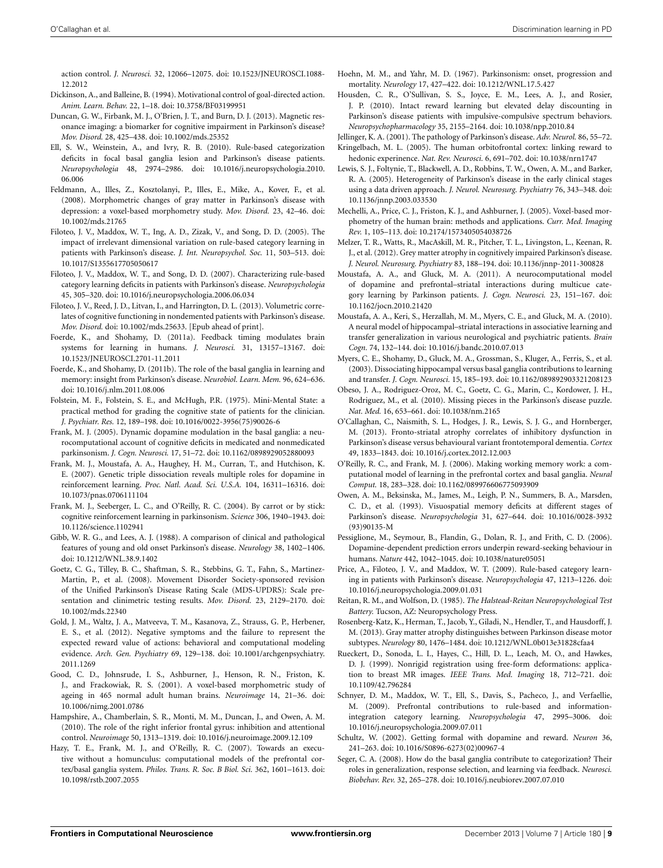action control. *J. Neurosci.* 32, 12066–12075. doi: 10.1523/JNEUROSCI.1088- 12.2012

- <span id="page-9-31"></span>Dickinson, A., and Balleine, B. (1994). Motivational control of goal-directed action. *Anim. Learn. Behav.* 22, 1–18. doi: 10.3758/BF03199951
- <span id="page-9-8"></span>Duncan, G. W., Firbank, M. J., O'Brien, J. T., and Burn, D. J. (2013). Magnetic resonance imaging: a biomarker for cognitive impairment in Parkinson's disease? *Mov. Disord.* 28, 425–438. doi: 10.1002/mds.25352
- <span id="page-9-20"></span>Ell, S. W., Weinstein, A., and Ivry, R. B. (2010). Rule-based categorization deficits in focal basal ganglia lesion and Parkinson's disease patients. *Neuropsychologia* 48, 2974–2986. doi: 10.1016/j.neuropsychologia.2010. 06.006
- <span id="page-9-28"></span>Feldmann, A., Illes, Z., Kosztolanyi, P., Illes, E., Mike, A., Kover, F., et al. (2008). Morphometric changes of gray matter in Parkinson's disease with depression: a voxel-based morphometry study. *Mov. Disord.* 23, 42–46. doi: 10.1002/mds.21765
- <span id="page-9-22"></span>Filoteo, J. V., Maddox, W. T., Ing, A. D., Zizak, V., and Song, D. D. (2005). The impact of irrelevant dimensional variation on rule-based category learning in patients with Parkinson's disease. *J. Int. Neuropsychol. Soc.* 11, 503–513. doi: 10.1017/S1355617705050617
- <span id="page-9-23"></span>Filoteo, J. V., Maddox, W. T., and Song, D. D. (2007). Characterizing rule-based category learning deficits in patients with Parkinson's disease. *Neuropsychologia* 45, 305–320. doi: 10.1016/j.neuropsychologia.2006.06.034
- <span id="page-9-9"></span>Filoteo, J. V., Reed, J. D., Litvan, I., and Harrington, D. L. (2013). Volumetric correlates of cognitive functioning in nondemented patients with Parkinson's disease. *Mov. Disord.* doi: 10.1002/mds.25633. [Epub ahead of print].
- <span id="page-9-30"></span>Foerde, K., and Shohamy, D. (2011a). Feedback timing modulates brain systems for learning in humans. *J. Neurosci.* 31, 13157–13167. doi: 10.1523/JNEUROSCI.2701-11.2011
- <span id="page-9-2"></span>Foerde, K., and Shohamy, D. (2011b). The role of the basal ganglia in learning and memory: insight from Parkinson's disease. *Neurobiol. Learn. Mem.* 96, 624–636. doi: 10.1016/j.nlm.2011.08.006
- <span id="page-9-14"></span>Folstein, M. F., Folstein, S. E., and McHugh, P.R. (1975). Mini-Mental State: a practical method for grading the cognitive state of patients for the clinician. *J. Psychiatr. Res.* 12, 189–198. doi: 10.1016/0022-3956(75)90026-6
- <span id="page-9-3"></span>Frank, M. J. (2005). Dynamic dopamine modulation in the basal ganglia: a neurocomputational account of cognitive deficits in medicated and nonmedicated parkinsonism. *J. Cogn. Neurosci.* 17, 51–72. doi: 10.1162/0898929052880093
- <span id="page-9-16"></span>Frank, M. J., Moustafa, A. A., Haughey, H. M., Curran, T., and Hutchison, K. E. (2007). Genetic triple dissociation reveals multiple roles for dopamine in reinforcement learning. *Proc. Natl. Acad. Sci. U.S.A.* 104, 16311–16316. doi: 10.1073/pnas.0706111104
- <span id="page-9-7"></span>Frank, M. J., Seeberger, L. C., and O'Reilly, R. C. (2004). By carrot or by stick: cognitive reinforcement learning in parkinsonism. *Science* 306, 1940–1943. doi: 10.1126/science.1102941
- <span id="page-9-11"></span>Gibb, W. R. G., and Lees, A. J. (1988). A comparison of clinical and pathological features of young and old onset Parkinson's disease. *Neurology* 38, 1402–1406. doi: 10.1212/WNL.38.9.1402
- <span id="page-9-13"></span>Goetz, C. G., Tilley, B. C., Shaftman, S. R., Stebbins, G. T., Fahn, S., Martinez-Martin, P., et al. (2008). Movement Disorder Society-sponsored revision of the Unified Parkinson's Disease Rating Scale (MDS-UPDRS): Scale presentation and clinimetric testing results. *Mov. Disord.* 23, 2129–2170. doi: 10.1002/mds.22340
- <span id="page-9-17"></span>Gold, J. M., Waltz, J. A., Matveeva, T. M., Kasanova, Z., Strauss, G. P., Herbener, E. S., et al. (2012). Negative symptoms and the failure to represent the expected reward value of actions: behavioral and computational modeling evidence. *Arch. Gen. Psychiatry* 69, 129–138. doi: 10.1001/archgenpsychiatry. 2011.1269
- <span id="page-9-18"></span>Good, C. D., Johnsrude, I. S., Ashburner, J., Henson, R. N., Friston, K. J., and Frackowiak, R. S. (2001). A voxel-based morphometric study of ageing in 465 normal adult human brains. *Neuroimage* 14, 21–36. doi: 10.1006/nimg.2001.0786
- <span id="page-9-36"></span>Hampshire, A., Chamberlain, S. R., Monti, M. M., Duncan, J., and Owen, A. M. (2010). The role of the right inferior frontal gyrus: inhibition and attentional control. *Neuroimage* 50, 1313–1319. doi: 10.1016/j.neuroimage.2009.12.109
- <span id="page-9-38"></span>Hazy, T. E., Frank, M. J., and O'Reilly, R. C. (2007). Towards an executive without a homunculus: computational models of the prefrontal cortex/basal ganglia system. *Philos. Trans. R. Soc. B Biol. Sci.* 362, 1601–1613. doi: 10.1098/rstb.2007.2055
- <span id="page-9-12"></span>Hoehn, M. M., and Yahr, M. D. (1967). Parkinsonism: onset, progression and mortality. *Neurology* 17, 427–422. doi: 10.1212/WNL.17.5.427
- <span id="page-9-35"></span>Housden, C. R., O'Sullivan, S. S., Joyce, E. M., Lees, A. J., and Rosier, J. P. (2010). Intact reward learning but elevated delay discounting in Parkinson's disease patients with impulsive-compulsive spectrum behaviors. *Neuropsychopharmacology* 35, 2155–2164. doi: 10.1038/npp.2010.84
- <span id="page-9-0"></span>Jellinger, K. A. (2001). The pathology of Parkinson's disease. *Adv. Neurol.* 86, 55–72. Kringelbach, M. L. (2005). The human orbitofrontal cortex: linking reward to
- <span id="page-9-34"></span><span id="page-9-27"></span>hedonic experinence. *Nat. Rev. Neurosci.* 6, 691–702. doi: 10.1038/nrn1747 Lewis, S. J., Foltynie, T., Blackwell, A. D., Robbins, T. W., Owen, A. M., and Barker, R. A. (2005). Heterogeneity of Parkinson's disease in the early clinical stages using a data driven approach. *J. Neurol. Neurosurg. Psychiatry* 76, 343–348. doi: 10.1136/jnnp.2003.033530
- <span id="page-9-39"></span>Mechelli, A., Price, C. J., Friston, K. J., and Ashburner, J. (2005). Voxel-based morphometry of the human brain: methods and applications. *Curr. Med. Imaging Rev.* 1, 105–113. doi: 10.2174/1573405054038726
- <span id="page-9-25"></span>Melzer, T. R., Watts, R., MacAskill, M. R., Pitcher, T. L., Livingston, L., Keenan, R. J., et al. (2012). Grey matter atrophy in cognitively impaired Parkinson's disease. *J. Neurol. Neurosurg. Psychiatry* 83, 188–194. doi: 10.1136/jnnp-2011-300828
- <span id="page-9-21"></span>Moustafa, A. A., and Gluck, M. A. (2011). A neurocomputational model of dopamine and prefrontal–striatal interactions during multicue category learning by Parkinson patients. *J. Cogn. Neurosci.* 23, 151–167. doi: 10.1162/jocn.2010.21420
- <span id="page-9-5"></span>Moustafa, A. A., Keri, S., Herzallah, M. M., Myers, C. E., and Gluck, M. A. (2010). A neural model of hippocampal–striatal interactions in associative learning and transfer generalization in various neurological and psychiatric patients. *Brain Cogn.* 74, 132–144. doi: 10.1016/j.bandc.2010.07.013
- <span id="page-9-4"></span>Myers, C. E., Shohamy, D., Gluck, M. A., Grossman, S., Kluger, A., Ferris, S., et al. (2003). Dissociating hippocampal versus basal ganglia contributions to learning and transfer. *J. Cogn. Neurosci.* 15, 185–193. doi: 10.1162/089892903321208123
- <span id="page-9-40"></span>Obeso, J. A., Rodriguez-Oroz, M. C., Goetz, C. G., Marin, C., Kordower, J. H., Rodriguez, M., et al. (2010). Missing pieces in the Parkinson's disease puzzle. *Nat. Med.* 16, 653–661. doi: 10.1038/nm.2165
- <span id="page-9-10"></span>O'Callaghan, C., Naismith, S. L., Hodges, J. R., Lewis, S. J. G., and Hornberger, M. (2013). Fronto-striatal atrophy correlates of inhibitory dysfunction in Parkinson's disease versus behavioural variant frontotemporal dementia. *Cortex* 49, 1833–1843. doi: 10.1016/j.cortex.2012.12.003
- <span id="page-9-37"></span>O'Reilly, R. C., and Frank, M. J. (2006). Making working memory work: a computational model of learning in the prefrontal cortex and basal ganglia. *Neural Comput.* 18, 283–328. doi: 10.1162/089976606775093909
- <span id="page-9-26"></span>Owen, A. M., Beksinska, M., James, M., Leigh, P. N., Summers, B. A., Marsden, C. D., et al. (1993). Visuospatial memory deficits at different stages of Parkinson's disease. *Neuropsychologia* 31, 627–644. doi: 10.1016/0028-3932 (93)90135-M
- <span id="page-9-29"></span>Pessiglione, M., Seymour, B., Flandin, G., Dolan, R. J., and Frith, C. D. (2006). Dopamine-dependent prediction errors underpin reward-seeking behaviour in humans. *Nature* 442, 1042–1045. doi: 10.1038/nature05051
- <span id="page-9-1"></span>Price, A., Filoteo, J. V., and Maddox, W. T. (2009). Rule-based category learning in patients with Parkinson's disease. *Neuropsychologia* 47, 1213–1226. doi: 10.1016/j.neuropsychologia.2009.01.031
- <span id="page-9-15"></span>Reitan, R. M., and Wolfson, D. (1985). *The Halstead-Reitan Neuropsychological Test Battery.* Tucson, AZ: Neuropsychology Press.
- <span id="page-9-24"></span>Rosenberg-Katz, K., Herman, T., Jacob, Y., Giladi, N., Hendler, T., and Hausdorff, J. M. (2013). Gray matter atrophy distinguishes between Parkinson disease motor subtypes. *Neurology* 80, 1476–1484. doi: 10.1212/WNL.0b013e31828cfaa4
- <span id="page-9-19"></span>Rueckert, D., Sonoda, L. I., Hayes, C., Hill, D. L., Leach, M. O., and Hawkes, D. J. (1999). Nonrigid registration using free-form deformations: application to breast MR images. *IEEE Trans. Med. Imaging* 18, 712–721. doi: 10.1109/42.796284
- <span id="page-9-33"></span>Schnyer, D. M., Maddox, W. T., Ell, S., Davis, S., Pacheco, J., and Verfaellie, M. (2009). Prefrontal contributions to rule-based and informationintegration category learning. *Neuropsychologia* 47, 2995–3006. doi: 10.1016/j.neuropsychologia.2009.07.011
- <span id="page-9-6"></span>Schultz, W. (2002). Getting formal with dopamine and reward. *Neuron* 36, 241–263. doi: 10.1016/S0896-6273(02)00967-4
- <span id="page-9-32"></span>Seger, C. A. (2008). How do the basal ganglia contribute to categorization? Their roles in generalization, response selection, and learning via feedback. *Neurosci. Biobehav. Rev.* 32, 265–278. doi: 10.1016/j.neubiorev.2007.07.010